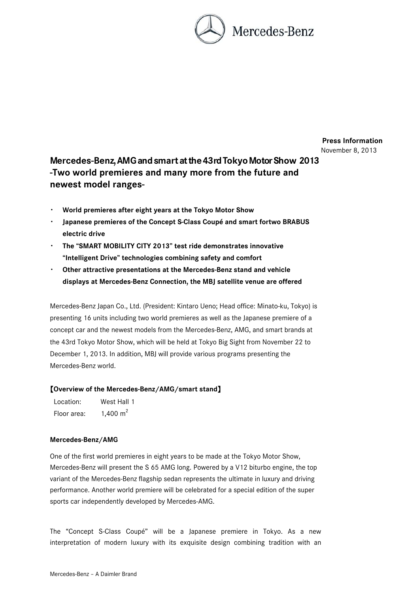

**Press Information**  November 8, 2013

# **Mercedes-Benz, AMG and smart at the 43rd Tokyo Motor Show 2013 -Two world premieres and many more from the future and newest model ranges-**

- ・ **World premieres after eight years at the Tokyo Motor Show**
- ・ **Japanese premieres of the Concept S-Class Coupé and smart fortwo BRABUS electric drive**
- ・ **The "SMART MOBILITY CITY 2013" test ride demonstrates innovative "Intelligent Drive" technologies combining safety and comfort**
- ・ **Other attractive presentations at the Mercedes-Benz stand and vehicle displays at Mercedes-Benz Connection, the MBJ satellite venue are offered**

Mercedes-Benz Japan Co., Ltd. (President: Kintaro Ueno; Head office: Minato-ku, Tokyo) is presenting 16 units including two world premieres as well as the Japanese premiere of a concept car and the newest models from the Mercedes-Benz, AMG, and smart brands at the 43rd Tokyo Motor Show, which will be held at Tokyo Big Sight from November 22 to December 1, 2013. In addition, MBJ will provide various programs presenting the Mercedes-Benz world.

## 【**Overview of the Mercedes-Benz/AMG/smart stand**】

| Location:   | West Hall 1 |
|-------------|-------------|
| Floor area: | 1,400 $m2$  |

#### **Mercedes-Benz/AMG**

One of the first world premieres in eight years to be made at the Tokyo Motor Show, Mercedes-Benz will present the S 65 AMG long. Powered by a V12 biturbo engine, the top variant of the Mercedes-Benz flagship sedan represents the ultimate in luxury and driving performance. Another world premiere will be celebrated for a special edition of the super sports car independently developed by Mercedes-AMG.

The "Concept S-Class Coupé" will be a Japanese premiere in Tokyo. As a new interpretation of modern luxury with its exquisite design combining tradition with an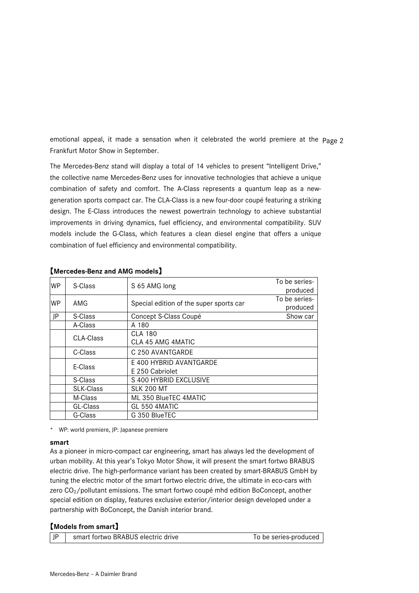emotional appeal, it made a sensation when it celebrated the world premiere at the Page 2 Frankfurt Motor Show in September.

The Mercedes-Benz stand will display a total of 14 vehicles to present "Intelligent Drive," the collective name Mercedes-Benz uses for innovative technologies that achieve a unique combination of safety and comfort. The A-Class represents a quantum leap as a newgeneration sports compact car. The CLA-Class is a new four-door coupé featuring a striking design. The E-Class introduces the newest powertrain technology to achieve substantial improvements in driving dynamics, fuel efficiency, and environmental compatibility. SUV models include the G-Class, which features a clean diesel engine that offers a unique combination of fuel efficiency and environmental compatibility.

| <b>WP</b>                                                                                 | S-Class                  | S 65 AMG long                           | To be series-<br>produced |
|-------------------------------------------------------------------------------------------|--------------------------|-----------------------------------------|---------------------------|
| <b>WP</b>                                                                                 | AMG                      | Special edition of the super sports car | To be series-<br>produced |
| JP                                                                                        | S-Class                  | Concept S-Class Coupé                   | Show car                  |
|                                                                                           | A-Class<br>A 180         |                                         |                           |
| CLA-Class                                                                                 |                          | <b>CLA 180</b>                          |                           |
|                                                                                           |                          | CLA 45 AMG 4MATIC                       |                           |
|                                                                                           | C-Class                  | C 250 AVANTGARDE                        |                           |
| E-Class<br>E 250 Cabriolet<br>S-Class<br><b>SLK-Class</b><br><b>SLK 200 MT</b><br>M-Class |                          | E 400 HYBRID AVANTGARDE                 |                           |
|                                                                                           |                          | S 400 HYBRID EXCLUSIVE                  |                           |
|                                                                                           |                          |                                         |                           |
|                                                                                           |                          | ML 350 BlueTEC 4MATIC                   |                           |
|                                                                                           | GL-Class                 | GL 550 4MATIC                           |                           |
|                                                                                           | G-Class<br>G 350 BlueTEC |                                         |                           |

### 【**Mercedes-Benz and AMG models**】

\* WP: world premiere, JP: Japanese premiere

#### **smart**

As a pioneer in micro-compact car engineering, smart has always led the development of urban mobility. At this year's Tokyo Motor Show, it will present the smart fortwo BRABUS electric drive. The high-performance variant has been created by smart-BRABUS GmbH by tuning the electric motor of the smart fortwo electric drive, the ultimate in eco-cars with zero  $CO<sub>2</sub>/pollutant$  emissions. The smart fortwo coupé mhd edition BoConcept, another special edition on display, features exclusive exterior/interior design developed under a partnership with BoConcept, the Danish interior brand.

## 【**Models from smart**】

| l JP | smart fortwo BRABUS electric drive | To be series-produced |
|------|------------------------------------|-----------------------|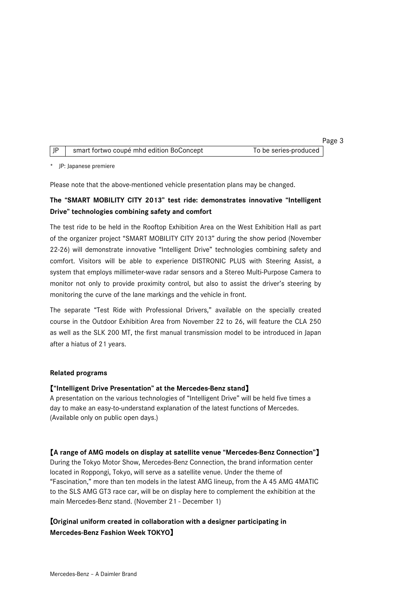|  |                                          |                       | Page 3 |
|--|------------------------------------------|-----------------------|--------|
|  | smart fortwo coupé mhd edition BoConcept | To be series-produced |        |

\* JP: Japanese premiere

Please note that the above-mentioned vehicle presentation plans may be changed.

# **The "SMART MOBILITY CITY 2013" test ride: demonstrates innovative "Intelligent Drive" technologies combining safety and comfort**

The test ride to be held in the Rooftop Exhibition Area on the West Exhibition Hall as part of the organizer project "SMART MOBILITY CITY 2013" during the show period (November 22-26) will demonstrate innovative "Intelligent Drive" technologies combining safety and comfort. Visitors will be able to experience DISTRONIC PLUS with Steering Assist, a system that employs millimeter-wave radar sensors and a Stereo Multi-Purpose Camera to monitor not only to provide proximity control, but also to assist the driver's steering by monitoring the curve of the lane markings and the vehicle in front.

The separate "Test Ride with Professional Drivers," available on the specially created course in the Outdoor Exhibition Area from November 22 to 26, will feature the CLA 250 as well as the SLK 200 MT, the first manual transmission model to be introduced in Japan after a hiatus of 21 years.

#### **Related programs**

## 【**"Intelligent Drive Presentation" at the Mercedes-Benz stand**】

A presentation on the various technologies of "Intelligent Drive" will be held five times a day to make an easy-to-understand explanation of the latest functions of Mercedes. (Available only on public open days.)

【**A range of AMG models on display at satellite venue "Mercedes-Benz Connection"**】

During the Tokyo Motor Show, Mercedes-Benz Connection, the brand information center located in Roppongi, Tokyo, will serve as a satellite venue. Under the theme of "Fascination," more than ten models in the latest AMG lineup, from the A 45 AMG 4MATIC to the SLS AMG GT3 race car, will be on display here to complement the exhibition at the main Mercedes-Benz stand. (November 21 - December 1)

# 【**Original uniform created in collaboration with a designer participating in Mercedes-Benz Fashion Week TOKYO**】